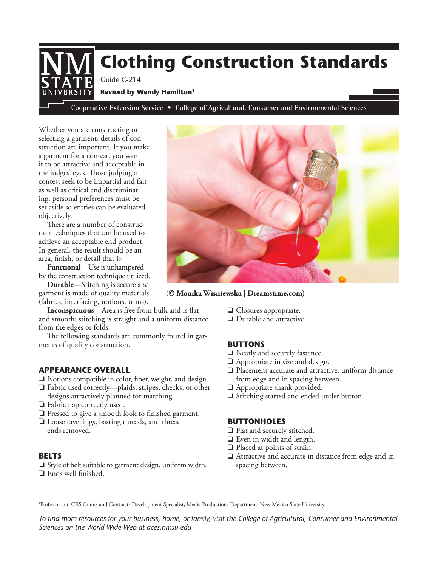# **Cooperative Extension Service • College of Agricultural, Consumer and Environmental Sciences Clothing Construction Standards** Guide C-214 **Revised by Wendy Hamilton1**

Whether you are constructing or selecting a garment, details of construction are important. If you make a garment for a contest, you want it to be attractive and acceptable in the judges' eyes. Those judging a contest seek to be impartial and fair as well as critical and discriminating; personal preferences must be set aside so entries can be evaluated objectively.

There are a number of construction techniques that can be used to achieve an acceptable end product. In general, the result should be an area, finish, or detail that is:

**Functional**—Use is unhampered by the construction technique utilized.

**Durable**—Stitching is secure and garment is made of quality materials (fabrics, interfacing, notions, trims).

**Inconspicuous**—Area is free from bulk and is flat and smooth; stitching is straight and a uniform distance from the edges or folds.

The following standards are commonly found in garments of quality construction.

#### **APPEARANCE OVERALL**

- $\Box$  Notions compatible in color, fiber, weight, and design.
- $\Box$  Fabric used correctly—plaids, stripes, checks, or other designs attractively planned for matching.
- $\Box$  Fabric nap correctly used.
- $\Box$  Pressed to give a smooth look to finished garment.
- $\Box$  Loose ravellings, basting threads, and thread ends removed.

#### **BELTS**

 $\Box$  Style of belt suitable to garment design, uniform width.  $\Box$  Ends well finished.

**(© Monika Wisniewska | Dreamstime.com)**

- $\Box$  Closures appropriate.
- $\Box$  Durable and attractive.

# **BUTTONS**

- $\Box$  Neatly and securely fastened.
- $\Box$  Appropriate in size and design.
- $\Box$  Placement accurate and attractive, uniform distance from edge and in spacing between.
- $\Box$  Appropriate shank provided.
- $\Box$  Stitching started and ended under button.

#### **BUTTONHOLES**

- $\Box$  Flat and securely stitched.
- $\Box$  Even in width and length.
- $\Box$  Placed at points of strain.
- $\Box$  Attractive and accurate in distance from edge and in spacing between.

1 Professor and CES Grants and Contracts Development Specialist, Media Productions Department, New Mexico State University.

*To find more resources for your business, home, or family, visit the College of Agricultural, Consumer and Environmental Sciences on the World Wide Web at aces.nmsu.edu*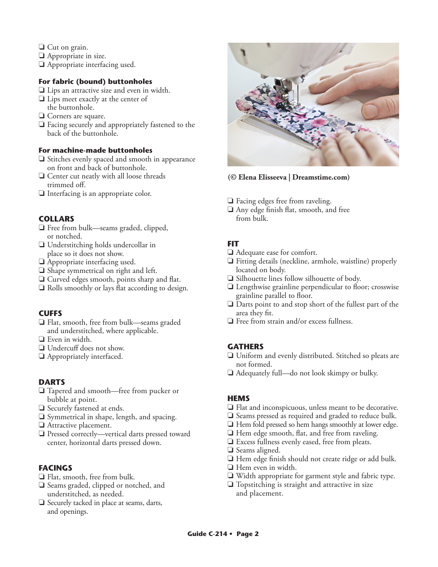- $\Box$  Cut on grain.
- $\Box$  Appropriate in size.
- $\Box$  Appropriate interfacing used.

# **For fabric (bound) buttonholes**

- $\Box$  Lips an attractive size and even in width.
- $\Box$  Lips meet exactly at the center of the buttonhole.
- $\Box$  Corners are square.
- $\Box$  Facing securely and appropriately fastened to the back of the buttonhole.

# **For machine-made buttonholes**

- $\Box$  Stitches evenly spaced and smooth in appearance on front and back of buttonhole.
- $\Box$  Center cut neatly with all loose threads trimmed off.
- $\Box$  Interfacing is an appropriate color.

# **COLLARS**

- $\Box$  Free from bulk—seams graded, clipped, or notched.
- $\Box$  Understitching holds undercollar in place so it does not show.
- $\Box$  Appropriate interfacing used.
- $\Box$  Shape symmetrical on right and left.
- $\Box$  Curved edges smooth, points sharp and flat.
- $\Box$  Rolls smoothly or lays flat according to design.

# **CUFFS**

- $\Box$  Flat, smooth, free from bulk—seams graded and understitched, where applicable.
- $\Box$  Even in width.
- $\Box$  Undercuff does not show.
- $\Box$  Appropriately interfaced.

# **DARTS**

- $\Box$  Tapered and smooth—free from pucker or bubble at point.
- $\Box$  Securely fastened at ends.
- $\square$  Symmetrical in shape, length, and spacing.
- $\Box$  Attractive placement.
- $\Box$  Pressed correctly—vertical darts pressed toward center, horizontal darts pressed down.

# **FACINGS**

- $\Box$  Flat, smooth, free from bulk.
- $\Box$  Seams graded, clipped or notched, and understitched, as needed.
- $\Box$  Securely tacked in place at seams, darts, and openings.



# **(© Elena Elisseeva | Dreamstime.com)**

- $\Box$  Facing edges free from raveling.
- $\Box$  Any edge finish flat, smooth, and free from bulk.

# **FIT**

- $\Box$  Adequate ease for comfort.
- $\Box$  Fitting details (neckline, armhole, waistline) properly located on body.
- $\Box$  Silhouette lines follow silhouette of body.
- $\Box$  Lengthwise grainline perpendicular to floor; crosswise grainline parallel to floor.
- $\Box$  Darts point to and stop short of the fullest part of the area they fit.
- $\Box$  Free from strain and/or excess fullness.

# **GATHERS**

- $\Box$  Uniform and evenly distributed. Stitched so pleats are not formed.
- $\Box$  Adequately full—do not look skimpy or bulky.

# **HEMS**

- $\Box$  Flat and inconspicuous, unless meant to be decorative.
- $\Box$  Seams pressed as required and graded to reduce bulk.
- $\Box$  Hem fold pressed so hem hangs smoothly at lower edge.
- $\Box$  Hem edge smooth, flat, and free from raveling.
- $\Box$  Excess fullness evenly eased, free from pleats.
- $\Box$  Seams aligned.
- $\Box$  Hem edge finish should not create ridge or add bulk.
- $\Box$  Hem even in width.
- $\Box$  Width appropriate for garment style and fabric type.
- $\Box$  Topstitching is straight and attractive in size and placement.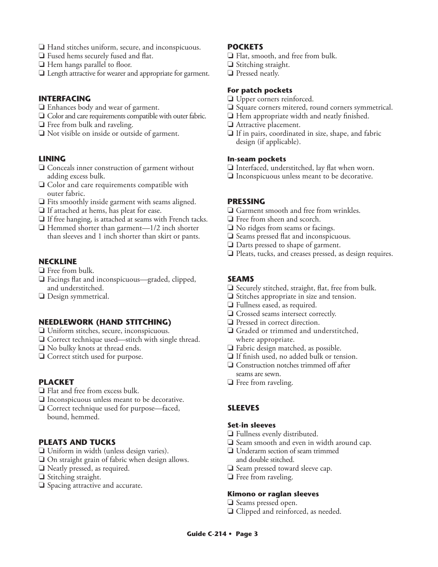- $\Box$  Hand stitches uniform, secure, and inconspicuous.
- $\Box$  Fused hems securely fused and flat.
- $\Box$  Hem hangs parallel to floor.
- $\Box$  Length attractive for wearer and appropriate for garment.

#### **INTERFACING**

- $\Box$  Enhances body and wear of garment.
- $\Box$  Color and care requirements compatible with outer fabric.
- $\Box$  Free from bulk and raveling.
- $\Box$  Not visible on inside or outside of garment.

# **LINING**

- $\Box$  Conceals inner construction of garment without adding excess bulk.
- $\Box$  Color and care requirements compatible with outer fabric.
- $\Box$  Fits smoothly inside garment with seams aligned.
- $\Box$  If attached at hems, has pleat for ease.
- $\Box$  If free hanging, is attached at seams with French tacks.
- $\Box$  Hemmed shorter than garment—1/2 inch shorter than sleeves and 1 inch shorter than skirt or pants.

#### **NECKLINE**

- $\Box$  Free from bulk.
- $\Box$  Facings flat and inconspicuous—graded, clipped, and understitched.
- $\Box$  Design symmetrical.

# **NEEDLEWORK (HAND STITCHING)**

- $\Box$  Uniform stitches, secure, inconspicuous.
- $\Box$  Correct technique used—stitch with single thread.
- $\Box$  No bulky knots at thread ends.
- $\Box$  Correct stitch used for purpose.

# **PLACKET**

- $\Box$  Flat and free from excess bulk.
- $\Box$  Inconspicuous unless meant to be decorative.
- $\Box$  Correct technique used for purpose—faced, bound, hemmed.

#### **PLEATS AND TUCKS**

- $\Box$  Uniform in width (unless design varies).
- $\Box$  On straight grain of fabric when design allows.
- $\Box$  Neatly pressed, as required.
- $\Box$  Stitching straight.
- $\Box$  Spacing attractive and accurate.

#### **POCKETS**

- $\Box$  Flat, smooth, and free from bulk.
- $\Box$  Stitching straight.
- $\Box$  Pressed neatly.

## **For patch pockets**

- $\Box$  Upper corners reinforced.
- $\Box$  Square corners mitered, round corners symmetrical.
- $\Box$  Hem appropriate width and neatly finished.
- $\Box$  Attractive placement.
- $\Box$  If in pairs, coordinated in size, shape, and fabric design (if applicable).

#### **In-seam pockets**

- $\Box$  Interfaced, understitched, lay flat when worn.
- $\Box$  Inconspicuous unless meant to be decorative.

#### **PRESSING**

- $\Box$  Garment smooth and free from wrinkles.
- $\Box$  Free from sheen and scorch.
- $\Box$  No ridges from seams or facings.
- $\Box$  Seams pressed flat and inconspicuous.
- $\Box$  Darts pressed to shape of garment.
- $\Box$  Pleats, tucks, and creases pressed, as design requires.

# **SEAMS**

- $\Box$  Securely stitched, straight, flat, free from bulk.
- $\Box$  Stitches appropriate in size and tension.
- $\Box$  Fullness eased, as required.
- $\Box$  Crossed seams intersect correctly.
- $\Box$  Pressed in correct direction.
- $\Box$  Graded or trimmed and understitched, where appropriate.
- $\Box$  Fabric design matched, as possible.
- $\Box$  If finish used, no added bulk or tension.
- $\Box$  Construction notches trimmed off after seams are sewn.
- $\Box$  Free from raveling.

# **SLEEVES**

#### **Set-in sleeves**

- $\Box$  Fullness evenly distributed.
- $\Box$  Seam smooth and even in width around cap.
- $\Box$  Underarm section of seam trimmed and double stitched.
- $\Box$  Seam pressed toward sleeve cap.
- $\Box$  Free from raveling.

#### **Kimono or raglan sleeves**

- $\Box$  Seams pressed open.
- $\Box$  Clipped and reinforced, as needed.